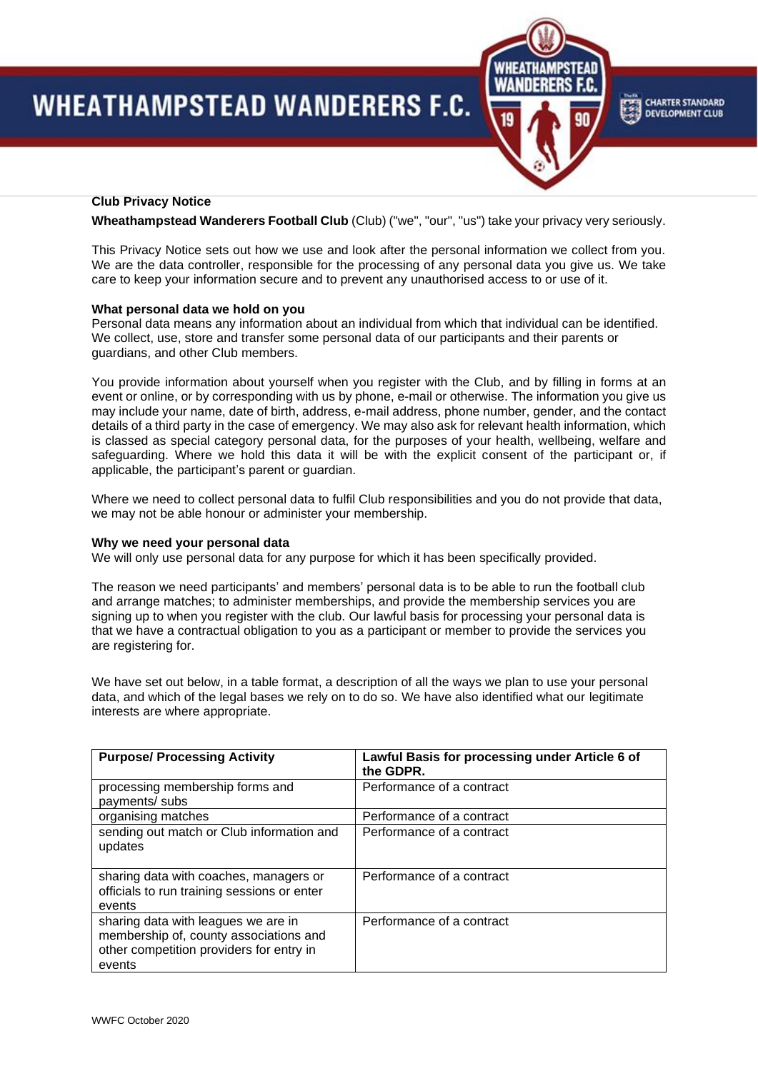# **WHEATHAMPSTEAD WANDERERS F.C.**



**CHARTER STANDARD DEVELOPMENT CLUB** 

# **Club Privacy Notice**

**Wheathampstead Wanderers Football Club** (Club) ("we", "our", "us") take your privacy very seriously.

This Privacy Notice sets out how we use and look after the personal information we collect from you. We are the data controller, responsible for the processing of any personal data you give us. We take care to keep your information secure and to prevent any unauthorised access to or use of it.

#### **What personal data we hold on you**

Personal data means any information about an individual from which that individual can be identified. We collect, use, store and transfer some personal data of our participants and their parents or guardians, and other Club members.

You provide information about yourself when you register with the Club, and by filling in forms at an event or online, or by corresponding with us by phone, e-mail or otherwise. The information you give us may include your name, date of birth, address, e-mail address, phone number, gender, and the contact details of a third party in the case of emergency. We may also ask for relevant health information, which is classed as special category personal data, for the purposes of your health, wellbeing, welfare and safeguarding. Where we hold this data it will be with the explicit consent of the participant or, if applicable, the participant's parent or guardian.

Where we need to collect personal data to fulfil Club responsibilities and you do not provide that data, we may not be able honour or administer your membership.

#### **Why we need your personal data**

We will only use personal data for any purpose for which it has been specifically provided.

The reason we need participants' and members' personal data is to be able to run the football club and arrange matches; to administer memberships, and provide the membership services you are signing up to when you register with the club. Our lawful basis for processing your personal data is that we have a contractual obligation to you as a participant or member to provide the services you are registering for.

We have set out below, in a table format, a description of all the ways we plan to use your personal data, and which of the legal bases we rely on to do so. We have also identified what our legitimate interests are where appropriate.

| <b>Purpose/ Processing Activity</b>                                                                                                 | Lawful Basis for processing under Article 6 of<br>the GDPR. |
|-------------------------------------------------------------------------------------------------------------------------------------|-------------------------------------------------------------|
| processing membership forms and<br>payments/ subs                                                                                   | Performance of a contract                                   |
| organising matches                                                                                                                  | Performance of a contract                                   |
| sending out match or Club information and<br>updates                                                                                | Performance of a contract                                   |
| sharing data with coaches, managers or<br>officials to run training sessions or enter<br>events                                     | Performance of a contract                                   |
| sharing data with leagues we are in<br>membership of, county associations and<br>other competition providers for entry in<br>events | Performance of a contract                                   |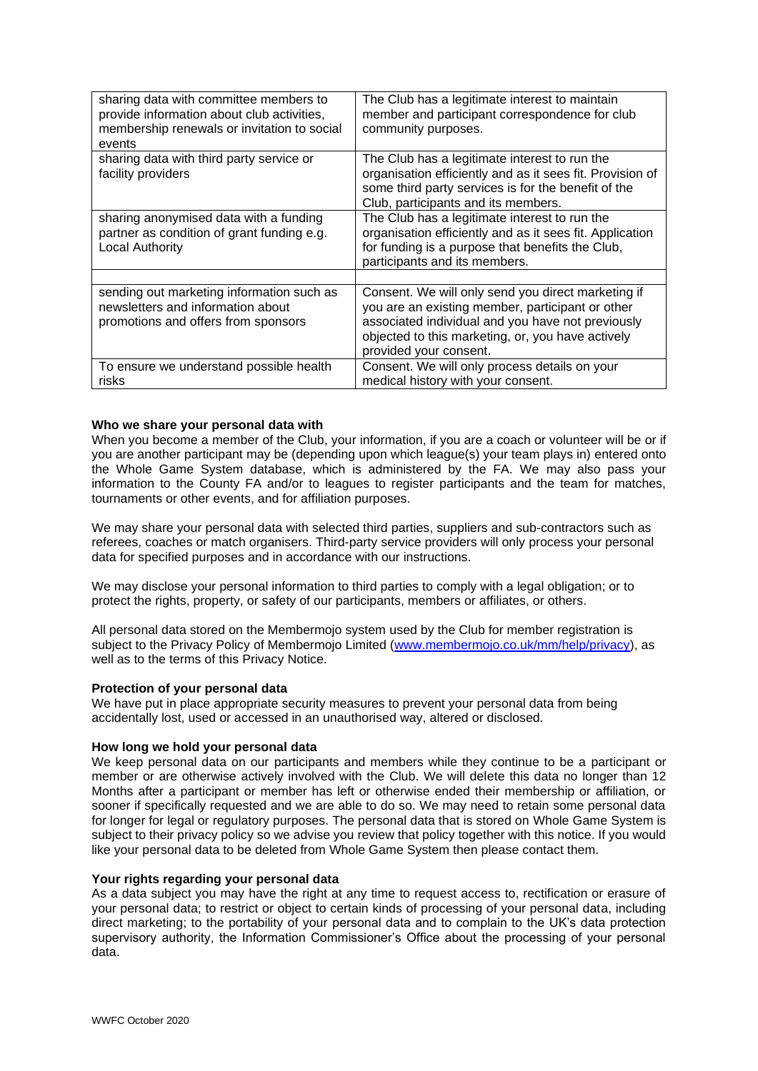| sharing data with committee members to<br>provide information about club activities,<br>membership renewals or invitation to social<br>events | The Club has a legitimate interest to maintain<br>member and participant correspondence for club<br>community purposes.                                                                                                                    |
|-----------------------------------------------------------------------------------------------------------------------------------------------|--------------------------------------------------------------------------------------------------------------------------------------------------------------------------------------------------------------------------------------------|
| sharing data with third party service or<br>facility providers                                                                                | The Club has a legitimate interest to run the<br>organisation efficiently and as it sees fit. Provision of<br>some third party services is for the benefit of the<br>Club, participants and its members.                                   |
| sharing anonymised data with a funding<br>partner as condition of grant funding e.g.<br><b>Local Authority</b>                                | The Club has a legitimate interest to run the<br>organisation efficiently and as it sees fit. Application<br>for funding is a purpose that benefits the Club,<br>participants and its members.                                             |
| sending out marketing information such as<br>newsletters and information about<br>promotions and offers from sponsors                         | Consent. We will only send you direct marketing if<br>you are an existing member, participant or other<br>associated individual and you have not previously<br>objected to this marketing, or, you have actively<br>provided your consent. |
| To ensure we understand possible health<br>risks                                                                                              | Consent. We will only process details on your<br>medical history with your consent.                                                                                                                                                        |

### **Who we share your personal data with**

When you become a member of the Club, your information, if you are a coach or volunteer will be or if you are another participant may be (depending upon which league(s) your team plays in) entered onto the Whole Game System database, which is administered by the FA. We may also pass your information to the County FA and/or to leagues to register participants and the team for matches, tournaments or other events, and for affiliation purposes.

We may share your personal data with selected third parties, suppliers and sub-contractors such as referees, coaches or match organisers. Third-party service providers will only process your personal data for specified purposes and in accordance with our instructions.

We may disclose your personal information to third parties to comply with a legal obligation; or to protect the rights, property, or safety of our participants, members or affiliates, or others.

All personal data stored on the Membermojo system used by the Club for member registration is subject to the Privacy Policy of Membermojo Limited [\(www.membermojo.co.uk/mm/help/privacy\)](http://www.membermojo.co.uk/mm/help/privacy), as well as to the terms of this Privacy Notice.

### **Protection of your personal data**

We have put in place appropriate security measures to prevent your personal data from being accidentally lost, used or accessed in an unauthorised way, altered or disclosed.

## **How long we hold your personal data**

We keep personal data on our participants and members while they continue to be a participant or member or are otherwise actively involved with the Club. We will delete this data no longer than 12 Months after a participant or member has left or otherwise ended their membership or affiliation, or sooner if specifically requested and we are able to do so. We may need to retain some personal data for longer for legal or regulatory purposes. The personal data that is stored on Whole Game System is subject to their privacy policy so we advise you review that policy together with this notice. If you would like your personal data to be deleted from Whole Game System then please contact them.

### **Your rights regarding your personal data**

As a data subject you may have the right at any time to request access to, rectification or erasure of your personal data; to restrict or object to certain kinds of processing of your personal data, including direct marketing; to the portability of your personal data and to complain to the UK's data protection supervisory authority, the Information Commissioner's Office about the processing of your personal data.